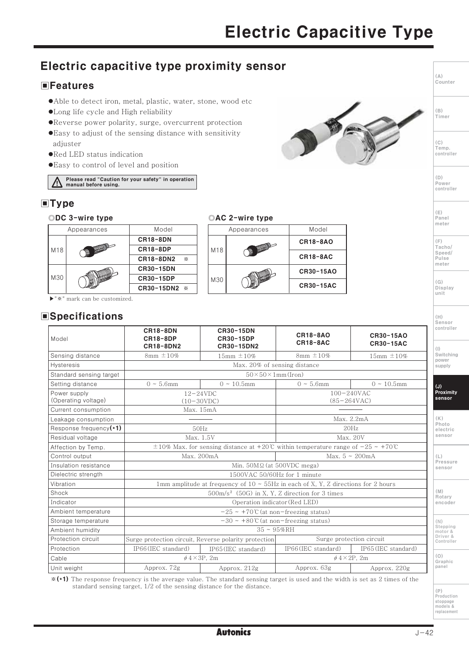## Electric capacitive type proximity sensor

### **EFeatures**

- Able to detect iron, metal, plastic, water, stone, wood etc
- ·Long life cycle and High reliability
- •Reverse power polarity, surge, overcurrent protection
- ●Easy to adjust of the sensing distance with sensitivity adiuster
- . Red LED status indication
- . Easy to control of level and position

Please read "Caution for your safety" in operation manual before using.

## $\blacksquare$ Type

©DC 3-wire type



©AC 2-wire type Appearances Model **CR18-8AO** M18 **CR18-8AC** 

CR30-15AO

**CR30-15AC** 

▶"※" mark can be customized.

### **Specifications**

| Model                               | <b>CR18-8DN</b><br><b>CR18-8DP</b><br>CR18-8DN2                                                    | <b>CR30-15DN</b><br><b>CR30-15DP</b><br>CR30-15DN2 | <b>CR18-8AO</b><br>CR18-8AC                | <b>CR30-15AO</b><br><b>CR30-15AC</b> |  |
|-------------------------------------|----------------------------------------------------------------------------------------------------|----------------------------------------------------|--------------------------------------------|--------------------------------------|--|
| Sensing distance                    | $8mm \pm 10\%$                                                                                     | 15mm $\pm 10%$                                     | $8mm \pm 10\%$                             | $15mm \pm 10\%$                      |  |
| <b>Hysteresis</b>                   | Max. 20% of sensing distance                                                                       |                                                    |                                            |                                      |  |
| Standard sensing target             | $50 \times 50 \times 1$ mm (Iron)                                                                  |                                                    |                                            |                                      |  |
| Setting distance                    | $0 \sim 5.6$ mm                                                                                    | $0 \sim 10.5$ mm                                   | $0 \sim 5.6$ mm                            | $0 \sim 10.5$ mm                     |  |
| Power supply<br>(Operating voltage) | $12 - 24$ VDC<br>$(10-30VDC)$                                                                      |                                                    | $100 - 240$ VAC<br>$(85 - 264 \text{VAC})$ |                                      |  |
| Current consumption                 | Max. 15mA                                                                                          |                                                    |                                            |                                      |  |
| Leakage consumption                 |                                                                                                    |                                                    | Max. 2.2mA                                 |                                      |  |
| Response frequency $(*1)$           | 50Hz                                                                                               |                                                    | 20Hz                                       |                                      |  |
| Residual voltage                    | Max. 1.5V                                                                                          |                                                    | Max. 20V                                   |                                      |  |
| Affection by Temp.                  | $\pm 10\%$ Max, for sensing distance at +20°C within temperature range of $-25 \sim +70^{\circ}$ C |                                                    |                                            |                                      |  |
| Control output                      | Max. 200mA                                                                                         |                                                    | Max. $5 \sim 200 \text{mA}$                |                                      |  |
| Insulation resistance               | Min. $50M\Omega$ (at $500VDC$ mega)                                                                |                                                    |                                            |                                      |  |
| Dielectric strength                 | 1500VAC 50/60Hz for 1 minute                                                                       |                                                    |                                            |                                      |  |
| Vibration                           | 1mm amplitude at frequency of $10 \sim 55$ Hz in each of X, Y, Z directions for 2 hours            |                                                    |                                            |                                      |  |
| Shock                               | $500 \text{m/s}^2$ (50G) in X, Y, Z direction for 3 times                                          |                                                    |                                            |                                      |  |
| Indicator                           | Operation indicator (Red LED)                                                                      |                                                    |                                            |                                      |  |
| Ambient temperature                 | $-25 \sim +70$ °C (at non-freezing status)                                                         |                                                    |                                            |                                      |  |
| Storage temperature                 | $-30 \sim +80$ °C (at non-freezing status)                                                         |                                                    |                                            |                                      |  |
| Ambient humidity                    | $35 \sim 95\% \text{RH}$                                                                           |                                                    |                                            |                                      |  |
| Protection circuit                  | Surge protection circuit, Reverse polarity protection                                              |                                                    | Surge protection circuit                   |                                      |  |
| Protection                          | IP66 (IEC standard)                                                                                | IP65(IEC standard)                                 | IP66 (IEC standard)                        | IP65 (IEC standard)                  |  |
| Cable                               | $\phi$ 4 $\times$ 3P, 2m                                                                           |                                                    | $\phi$ 4 × 2P. 2m                          |                                      |  |
| Unit weight                         | Approx. 72g                                                                                        | Approx. 212g                                       | Approx. 63g                                | Approx. 220g                         |  |

M30

\*(\*1) The response frequency is the average value. The standard sensing target is used and the width is set as 2 times of the standard sensing target, 1/2 of the sensing distance for the distance.

 $(\mathbb{P})$ 、・・<br>Production stoppage<br>models & replacement



Counter

 $(\triangle)$ 

 $(\mathbb{B})$ 

*<u>Timer</u>* 

 $(C)$ Temp. controller

 $(D)$ Power controller

 $(E)$  $Panel$ <br>meter

(F)<br>Tacho/<br>Speed/ Pulse<br>meter

 $(G)$ Display unit

 $(H)$ Sensor controller

 $(\vert \, \vert)$ Switching power supply

 $(J)$ Proximity<br>sensor

 $(\mathbb{K})$ Photo electric sensor

 $(L)$ Pressure sensor

 $(N)$ Rotary<br>encoder

(N)<br>Stepping motor &<br>Driver &<br>Controller

 $(0)$ Graphic<br>panel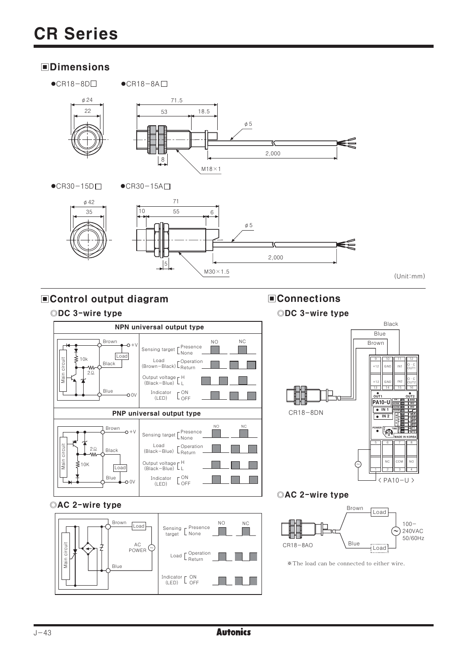## **OD** Dimensions

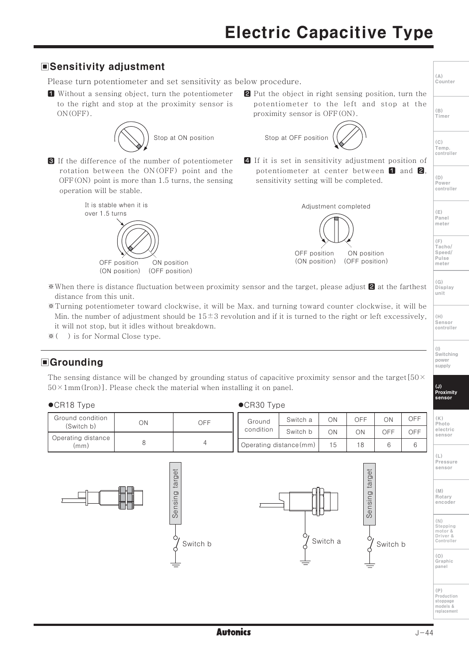# **Electric Capacitive Type**







target

Sensing

Switch b

 $(N)$ Stepping<br>motor &<br>Driver & Controller

sensor

Rotary encoder

 $(0)$ Graphic panel

 $(P)$ 、.<br>Production stoppage<br>models & replacement